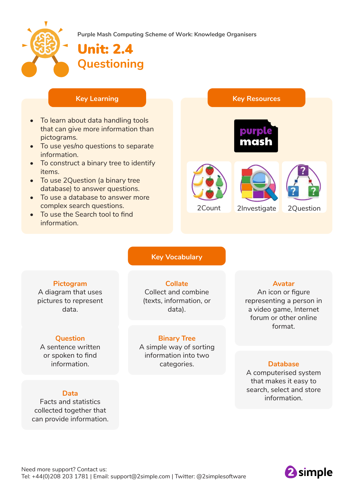

**Purple Mash Computing Scheme of Work: Knowledge Organisers**

# Unit: 2.4 **Questioning**

- To learn about data handling tools that can give more information than pictograms.
- To use yes/no questions to separate information.
- To construct a binary tree to identify items.
- To use 2Question (a binary tree database) to answer questions.
- To use a database to answer more complex search questions.
- To use the Search tool to find information.



#### **Key Vocabulary**

### **Pictogram**

A diagram that uses pictures to represent data.

#### **Question**

A sentence written or spoken to find information.

#### **Data**

Facts and statistics collected together that can provide information.

**Collate** Collect and combine (texts, information, or data).

### **Binary Tree**

A simple way of sorting information into two categories.

#### **Avatar**

An icon or figure representing a person in a video game, Internet forum or other online format.

### **Database**

A computerised system that makes it easy to search, select and store information.